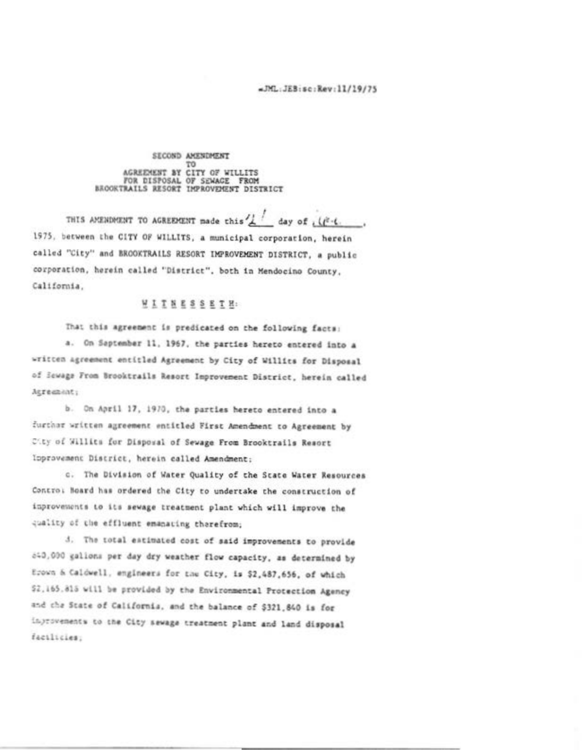## SECOND AMENDMENT TO AGREEMENT BY CITY OF WILLITS<br>FOR DISPOSAL OF SEWAGE FROM<br>BROOKTRAILS RESORT IMPROVEMENT DISTRICT

THIS AMENDMENT TO AGREEMENT made this  $\frac{1}{4}$  day of ,  $\left(\frac{3}{4}\right)$ . 1975, between the CITY OF WILLITS, a municipal corporation, herein called "City" and BROOKTRAILS RESORT IMPROVEMENT DISTRICT, a public corporation, herein called "District", both in Mendocino County, California.

## WITNESSETH:

That this agreement is predicated on the following facts: a. On Saptember 11, 1967, the parties hereto entered into a written agreement entitled Agreement by City of Willits for Disposal of Sewage From Brooktrails Resort Improvement District, herein called Agreement;

b. On April 17, 1970, the parties hereto entered into a further written agreement entitled First Amendment to Agreement by City of Willits for Disposal of Sewage From Brooktrails Resort Ipprovement District, herein called Amendment;

c. The Division of Water Quality of the State Water Resources Contro: Hoard has ordered the City to undertake the construction of inprovements to its sewage treatment plant which will improve the quality of the effluent emanating therefrom;

3. The total estimated cost of said improvements to provide 840,000 galions per day dry weather flow capacity, as determined by Erown & Caldwell, engineers for the City, is \$2,487,656, of which \$2.165.815 will be provided by the Environmental Protection Agency and the State of California, and the balance of \$321,840 is for ingrovements to the City sewage treatment plant and land disposal facilities;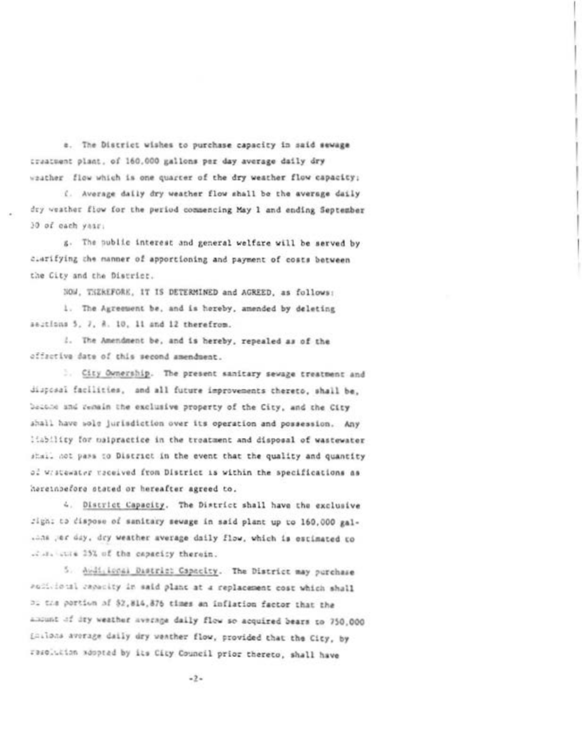e. The District wishes to purchase capacity in said sewage creatuent plant, of 160,000 gallons per day average daily dry seather flow which is one quarter of the dry weather flow capacity;

i. Average daily dry weather flow shall be the average daily dry weather flow for the period commencing May 1 and ending September 30 of each year:

g. The public interest and general welfare will be served by clarifying the manner of apportioning and payment of costs between the City and the District.

NOW, THEREFORE, IT IS DETERMINED and AGREED, as follows: 1. The Agreement be, and is hereby, amended by deleting sections 5, 7, 8, 10, 11 and 12 therefrom.

1. The Amendment be, and is hereby, repealed as of the offective date of this second amendment.

. City Ownership. The present sanitary sewage treatment and disposal facilities, and all future improvements thereto, shall be, bacone and remain the exclusive property of the City, and the City shall have sole jurisdiction over its operation and possession. Any liability for naipractice in the treatment and disposal of wastewater stall not pass to District in the event that the quality and quantity of Wrstewater received from District is within the specifications as hareinbefore stated or hereafter agreed to.

4. District Capacity. The District shall have the exclusive fight to dispose of sanitary sewage in said plant up to 160.000 gal-.ans per day, dry weather average daily flow, which is estimated to .2.31 cuts 25% of the capacity therein.

5. Audi. Local District Capacity. The District may purchase Political repacity in said plant at a replacement cost which shall Di the portion of \$2,814,876 times an inflation factor that the amount of dry weather average daily flow so acquired bears to 750,000 Lailons average daily dry wenther flow, provided that the City, by resolution adopted by its City Council prior thereto, shall have

 $-2-$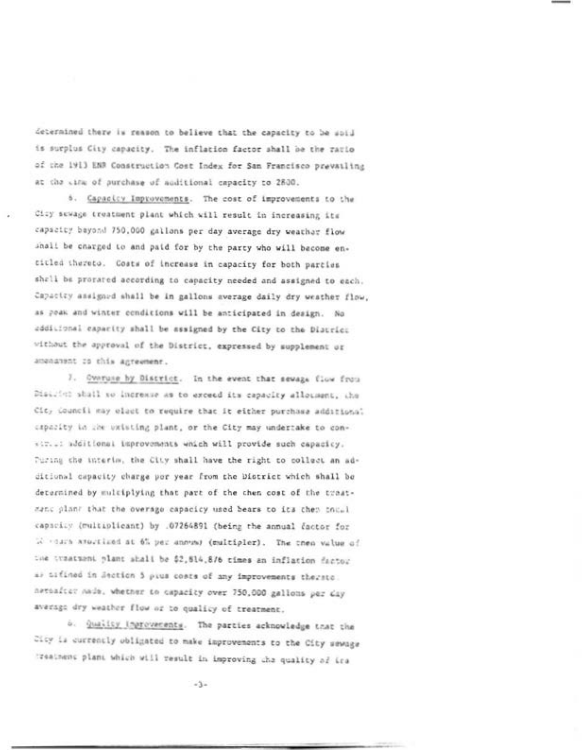determined there is reason to believe that the capacity to be sold is surplus City capacity. The inflation factor shall be the ratio of the 1913 ENR Construction Cost Index for San Francisco prevailing at the Life of purchase of additional capacity to 2800.

6. Capacicy Improvements. The cost of improvements to the City sewage treatment plant which will result in increasing its capacity bayond 750,000 gallons per day average dry weather flow ahali be charged to and paid for by the party who will become entitled thereto. Costs of increase in capacity for both parties shall be prorated according to capacity needed and assigned to each. Capacity assigned shall be in gallons average daily dry weather flow, as poak and winter conditions will be anticipated in design. No additional capacity shall be assigned by the City to the District without the approval of the District, expressed by supplement or amendment to this agreement.

7. Overuse by District. In the event that sewage flow from District shall so increase as to exceed its capacity allocaent, the Cit, douncil may elast to require that it either purchase additional capacity in the uxisting plant, or the City may undertake to convir..: additional improvements which will provide such capacicy. Turing the interim, the City shall have the right to collect an additional capacity charge por year from the District which shall be determined by multiplying that part of the then cost of the treatmant plant that the overage capacicy used bears to its then thus capacity (multiplicant) by .07264891 (being the annual factor for We can't attaching at 6% per annual (multipler). The then value of the traatment plant shall be \$2,514,876 times an inflation factor a) difined in Section 5 pius costs of any improvements therato. nessafter nade, whether to capacity over 750,000 gallons per day average dry weather flow or to qualicy of treatment.

b. Quality ingrovements. The parties acknowledge that the City is currently obligated to make improvements to the City sewage treatment plant which will result in improving the quality of ica

 $-3-$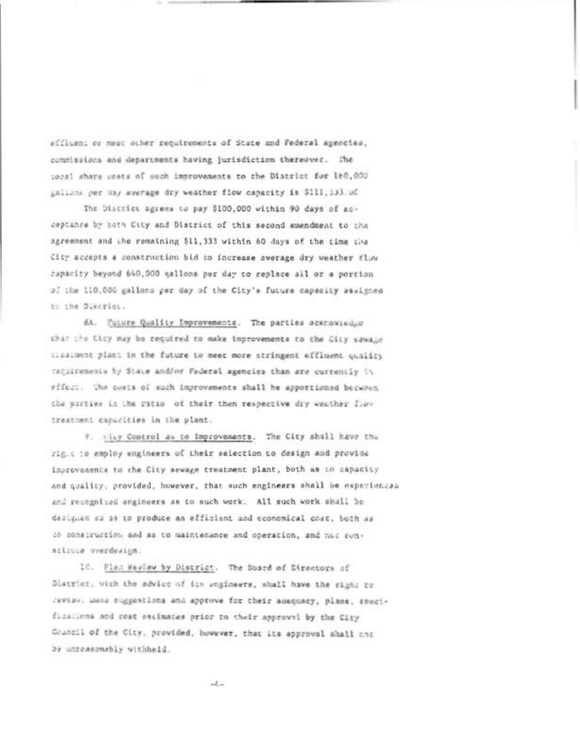efficent or meet other requirements of State and Federal agencies. commissions and departments having jurisdiction thereover. The iocal share costs of such improvements to the District for 160,000 gallons per day average dry weather flow capacity is \$111,333.00

The District agrees to pay \$100,000 within 90 days of acceptance by both City and District of this second amendment to the agreement and the remaining \$11,333 within 60 days of the time the City accepts a construction bid to increase average dry weather flow capacity beyond 640,000 gallons per day to replace all or a portion of the 110,000 gallons per day of the City's future capacity sawigned to the Discrict.

6A. Future Quality Improvements. The parties acknowledge char the City may be required to make improvements to the City sawage stealment plant in the future to meet more stringent effluent quality cacultenents by State and/or Federal agencies than are currently in #ffect. The costs of such improvements shall be apportioned becomen the parties in the ratio of their then respective dry weather flow treatment capacities in the plant.

9. tity Control as to Improvements. The City shall have the rig.c to employ engineers of their selection to design and provide improvements to the City sewage treatment plant, both as to capacity and quality, provided, however, that such engineers shall be experienced and recognized engineers as to such work. All such work shall be designed as it to produce an efficient and economical cost, both as co construction and as to maintenance and operation, and not consclause overdesign.

10. Plan Haview by District. The Board of Directors of District, with the advice of its ungineers, shall have the right to Javias, Luxa suggestions and approve for their adequacy, plans, specifications and cost estimates prior to their approval by the City Council of the City, provided, however, that its approval shall not be unreasonably withheld.

 $-1.$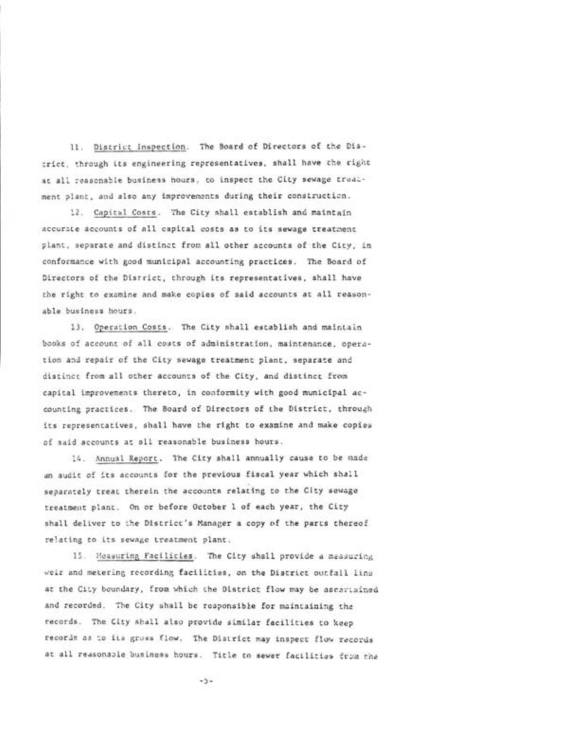11. District Inspection. The Board of Directors of the District, through its engineering representatives, shall have the right at all reasonable business hours, to inspect the City sewage treatment plant, and also any improvements during their construction.

12. Capital Costs. The City shall establish and maintain accurate accounts of all capital costs as to its sewage treatment plant, separate and distinct from all other accounts of the City, in conformance with good municipal accounting practices. The Board of Directors of the District, through its representatives, shall have the right to examine and make copies of said accounts at all reasonable business hours.

13. Operation Costs. The City shall establish and maintain books of account of all costs of administration, maintenance, operation and repair of the City sewage treatment plant, separate and distinct from all other accounts of the City, and distinct from capital improvements thereto, in conformity with good municipal accounting practices. The Board of Directors of the District, through its representatives, shall have the right to examine and make copies of said accounts at all reasonable business hours.

14. Annual Report. The City shall annually cause to be made an audit of its accounts for the previous fiscal year which shall separately treat therein the accounts relating to the City sewage treatment plant. On or before October 1 of each year, the City shall deliver to the District's Manager a copy of the parts thereof relating to its sewage treatment plant.

15. Measuring Facilicies. The City shall provide a measuring weir and metering recording facilities, on the District outfall line at the City boundary, from which the District flow may be ascaviained and recorded. The City shall be responsible for maintaining the records. The City shall also provide similar facilities to keep records as to its gross flow. The District may inspect flow records at all reasonable business hours. Title to sewer facilities from the

 $-5 -$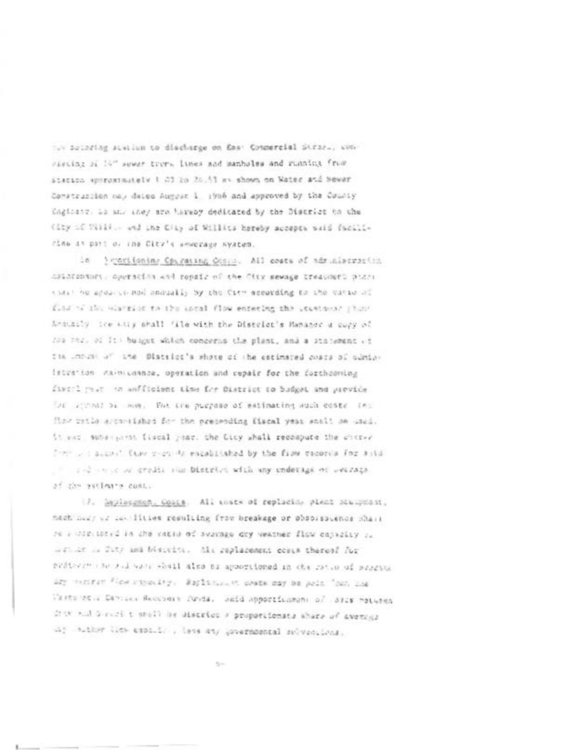to decoring sustion to discharge on Eas: Connercial Strar., concircing of 14" sewer trees. Itnes and manholes and running from Statics epiroximately 1.00 2n 2n.53 as shown on Water and Sewar Construction nap dates August 1 1916 and approved by the County inglasse, he and they are haveny dedicated by the District to the (ity of Will., and the City of Willits hereby accepts said facilicine as part of the City's sewcrage system.

in Prostitoning Operating Ocass. All costs of administration assatesment aperación and repair of the fity sewage treasment paras that he apositional anoually by the City according to the vational find to the mistrice to the ascal flow entering the stantouns phone Annually the city shall file with the District's Hamaner a cupy of 230 252, 01 It: buiget which concerns the plant, and a statement of the understood and the District's whote of the estimated costs of coministration calmicannee, operation and repair for the forthcoming fixerl paur on anfficient time for District to budget and previous let attend or mor. The tre purpose of estimating such costs (e) flow patis aroundable for the executing fiscal year soult be used. it and subsequent fiscal year, the Licy shall recompute the chorac Then is account those even to escablished by the from cacords for sita and a way or credit she bistrict with any undersign or weather of the sutlement cost.

(7) Septement Cosis All costs of replacing plant Manaphoin, mech must us callities resulting from breakage or phobispuence mhass se a stiritoire la che ratio of average dry vestmer flux entrelly si within a fit: and biscript. Als replacement costs thereof fur professor and such shall also be apportuned in the rotan of sessons ary central fiest riporting, Raplinancen cours may be point "out and Vaste et a Canical Recovers Arita, said apportingens of Sales Hotelen driv and Survey t sholl be district a proportionate share of average in; wither lies espaints , less any governmental selventions.

April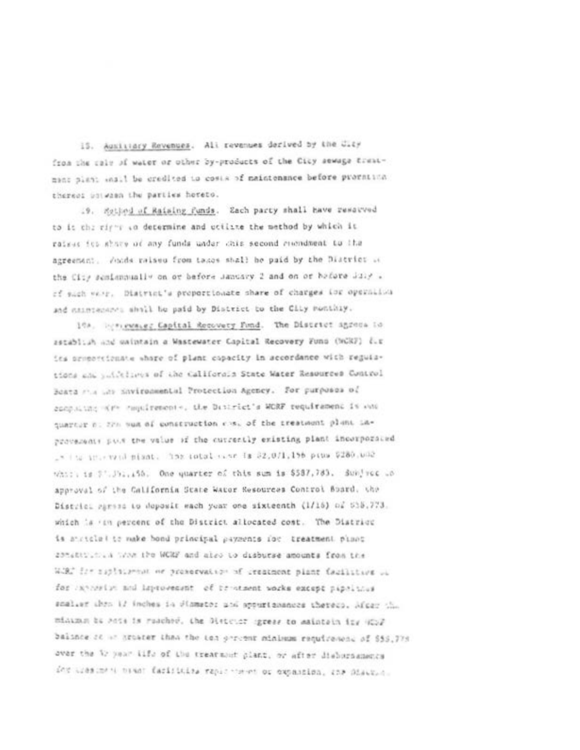15. Austriary Revenues. All revenues derived by the Clay from the rain of water or other by-products of the City sewage treatment plant what be credited to costs of maintenance before prometting thereof botwash the parties horeto.

19. Satisd of Raising funds. Each party shall have reserved to it the ring to depermine and utilize the method by which it raises its share of any funds under this second recondment to the agreement. Andds raised from takes shall be paid by the District as the City semismountly on or before January 2 and on or hefore July . of such very. District's proportionate share of charges for operation and natureasons shall be paid by District to the City Ponthly.

104. Hercewaver Capital Recovery Fund. The District agrees to astablish and waintain a Wastewater Capital Recovery Funs (NGRF) dir its promoteignate whore of plant capacity in accordance with regulations and publishers of the California State Water Resources Control Boata mis un Savironmental Protection Agency. For purposes of computing with resultations, the District's WCRF requirement is one quarter no fin sum of construction cost of the treatment plant improverents put the value of the currently existing plant incorporated . Its interview mission has intelected in \$2,071,156 pins \$280,000 which is \$". Jul. 155. One quarter of this sum is \$587,783. Subject to approval of the California State Water Resources Control Board, the District Parses to deposit each year one sixteenth (1/16) of 538.773. which is itn percent of the District allocated cost. The District is atricle! to make bond principal payments for treatment plant 20tettions a true the WCRF and also to disburse amounts from the WiRT for suplimerant or preservation of creatment plant facilities of for investigated inprovement of tratment works except pipelatus scaleer than 12 inches in diameter and appurtanances therees, Micer that minizion be sots is resched. The District ogress to maintain ity (C)F balince at an artister than the ten percent minimum requirement of \$55,778 over the 32 year life of the treatment plant, or after disburdances for trested to boat farisities rapid when or expansion, the Sisteria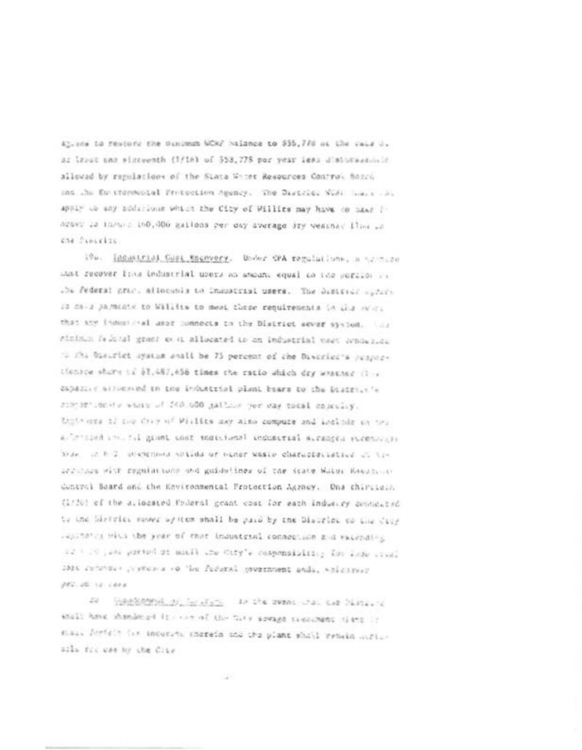45, and to restore the Binimum WCKF halonce to \$35,778 at the cale 3. as levet one winteenth (1/16) of 553,778 por year less disturbance in allowed by regulations of the State White Resources Control Bosch and the En-itemporal Protection Agency. The District Nude Large and apply to any solarious which the City of Willies may have co head !" nesse ca innues 160,000 gailons per day average dry weather floor of che finicito.

196. Inc.strial Cost Macovery. Under CPA regulations, a sympace Lust recover lina industrial upers an amount equal to the portion in the Federal grant allocates to immusicial users. The Sufficient system 20 days paracete to William to mean these requirements in this avera that sny industrial asset connects to the District sever system. This sining friend grass over allocated to an industrial cast webwards to this bisurfet system anall be 75 percent of the Diverted's proporatonice share is \$3,487,658 times the ratio which dry weather find expansional to the industrial plant bears to the Brazillo in storagioners where of 200,000 gallous per cay total concelly. Ingthese of me they of Willies may also compute and include on the a "monord in til grant cost monordenel enduserial siranges strenovist blue, in 0.2, investment solids or einer waste characteristics in the accurace with regulations and guidelines of the State Water Readment Control Board and the Environmental Protection Agency. One chirtiesh (1730) of the allocated Poderal grant cost for each industry considered to the Sirtvies never system shall be paid by the Disorice to the City caparates with the year of that industrial connection and excepting if the part parties at much the stry's componsibility for lade stad 1916 returns - preturna vo "les Pedaral government anda, whichever 280.26.32.1403

At the complete of the state of the commodule of National their have shandered in our of the fary sounds treatment time if stail fortein the induced shorein and the plant shall remain mitiacly for use by the City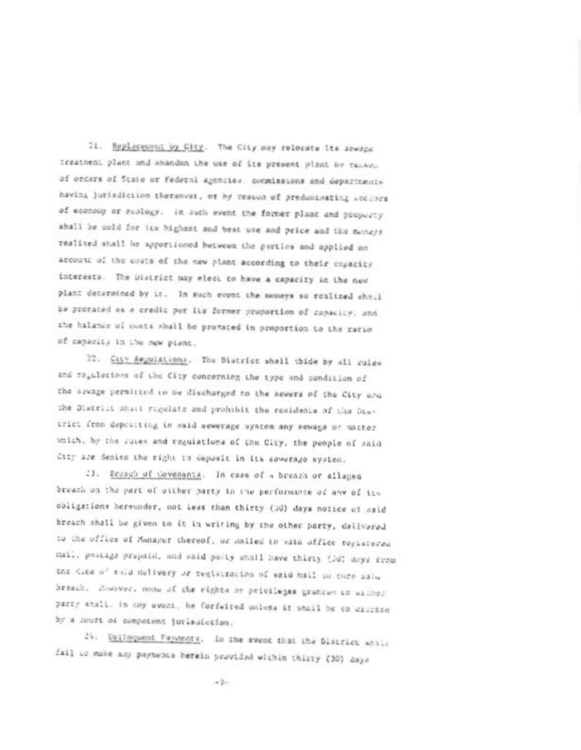21. Replacement by City. The City may relocate its sewage creatment plant and abandon the use of its present plant by remove of orders of State or Federal agencies, commissions and departments having jurisdiction thereover, or by ceasus of preducinating soccers of economy or sublogy. In such event the former plant and property shall be sold for its highest and best use and price and the moneys realited shall be apportioned between the parties and applied on account of the costs of the new plant according to their expecity interests. The District may elect to have a capacity in the new plant determined by it. In such event the moneys so realized shall be provated as a credit por its former proportion of capacity, and the balance of costs shall be protated in proportion to the racio of capacity in the new plant.

22. City Regulations. The District shall thide by all rules and regulacions of the City concerning the type and condition of the sexage permitted to be discharged to the sewers of the City and the District shart rigalate and prohibit the residents of the Diatrict from depositing in maid sewerage system any sewage or uncter which, by the cutes and regulations of the City, the people of said City are denied the right to deposit in its sewerage system.

23. Broach of Covenants. In case of a breach or allaged breach on the part of wither party in the performance of any of its obligations hereunder, not less than thirty (30) days notice of said breach shall be given to it in writing by the other party, dailyared to the office of Manayer chereof, or mailed to vaid office registered mail, possage prepaid, and said pacty shall have thirty (Jd) days from the date of said delivery or teglatracion of said mail or turn palu breach, downwar, mone of the rights or privileges gratices to eliber party shall. In ony event, he forfeited unless it shall be so excited by a court of competent jurisdickion.

25. Dailsquest Payments. In the swent that the Blatzlet whale fail to make any payments berein provided within thirty (30) days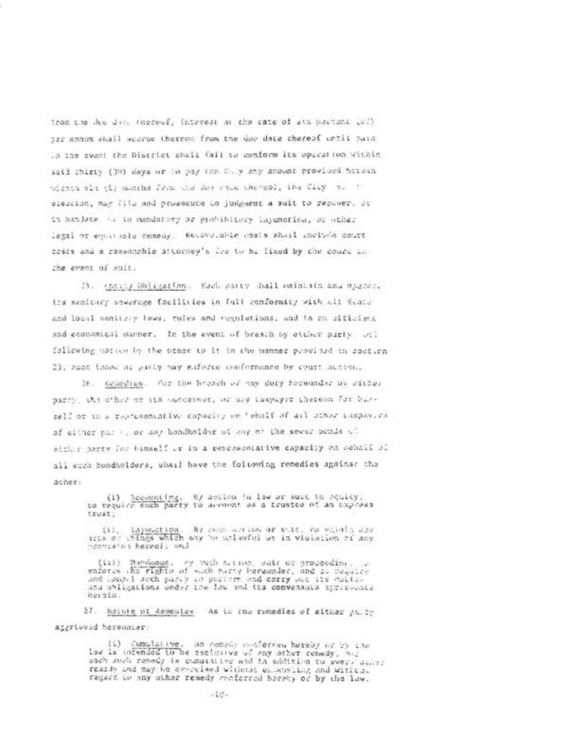from the due dice inerest. Interest at the rate of six partent (ed) sar annum shall weerue thereon from the due date chereof until paid In the event the District shall Cail to conform its operation within said chirty (30) days or to pay the C-, y any amount province hetern wighin sit (b) months from the due cause thereof, the City of the eleccion, may file and prosecute to judgment a suit to recover, or in mandate of in mandatory as grabiblicary lapunctica, or other legal or equations venedy. We overable mosts shard unclude court coses and a reasonable attorney's live to be lixed by che courc an the event of suit.

15. their Obligation. Each party shall meintain and opacer. its sanitary sewerage focilities in full conformity with all State and local samitary lows, tules and regulations, and in an afficient and economical parmer. In the event of breach by etther party and following motion by the other to it in the manner provided in section 23, such innot at pacty may enforce conformance by court accion.

26. Kenedies. For the broach of may duty hereundar by sither parry. the other or and outcobsor, or any taxpayer thereon for harself or to a rapresentative capacity on 'ehalf of all uthor taxpay. Exof either park, or any bondholder of any of the sewer bends of atthe party for bimself or in a representative capacity on schall of all such bondholders, shall have the foltowing remedies against the acher:

> (1) Accounting. By action in law or suit in equicy,<br>to require such party to secondt as a trusted of an express trust:

> (ii, lapsaction, By registration or stat, cossider any sets of whings which may be unleeful or in violation of any nzoviatos hereof: and

> (111) Mandonas, by publicities, auto or proceeding, is<br>enforce the rights of such purty beraunder, and as callice<br>and campel auch party to portain and carry out its cultus and obligations under the law and its convenants apriendate heroin.

27. Nature of Remember. As to the remedies of either party aggrieved hereuncar:

> (i) Cumulative, as cemely mosferred hereby or by the<br>law is intended to be assignive of any other remedy, must sach anch remedy is cummitter and in solitation to swep. Jener:<br>remaily and may be exercised without extending and without<br>remaid to any other remedy conferred bereby or by the law.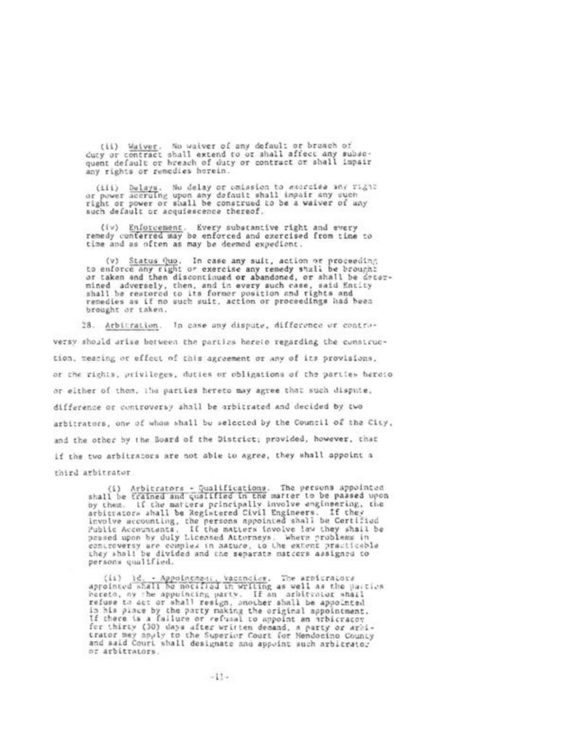(ii) Waiver. No waiver of any default or branch of duty or contract shall extend to or shall affect any subsequent default or hreach of duty or contract or shall impair any rights or remedies horein.

(iii) Delays. No delay or omission to accretee any right<br>or power accruing upon any default shall impair any such<br>right or power or shall be construed to be a waiver of any such default or acquiescence thereof.

(iv) Enforcement. Every substantive right and every<br>remedy conferred may be enforced and exercised from time to time and as often as may be deemed expedient.

(v) Status Quo. In case any suit, action or proceeding<br>to enforce any right or exercise any remedy shall be brought or taken and then discontinued or abandoned, or shall be determined adversely, then, and in every such case, said Entity<br>shall be restored to its former position and rights and remedies as if no such suit, action or proceedings had heen brought or taken.

28. Arbitration. In case any dispute, difference or contraversy should arise between the parties hereio regarding the construction, meaning or effect of this agreement or any of its provisions, or the rights, privileges, duties or obligations of the parties heroto or either of them, the parties hereto may agree that such dispute, difference or controversy shall be arbitrated and decided by two arbitrators, one of whom shall be selected by the Council of the City. and the other by the Board of the District; provided, however, that if the two arbitrators are not able to agree, they shall appoint a third arbitrator.

(i) Arbitrators - Qualifications. The persons appointed<br>shall be trained and qualified in the matter to be passed upon If the matters principally involve engineering, the by them. arbitrators shall be Registered Civil Engineers. If they involve accounting, the persons appointed shall be Certified<br>Public Accountants. If the matters involve law they shall be Public Accountants. If the matters involve law they shall<br>passed upon by duly Licensed Attorneys. Where problems in controversy are complex in nature, to the extent practicable<br>they shall be divided and the separate matters assigned to persons qualified.

(ii) id. - Appointment, Vacancies. The arbitrators appointed whall be notified in writing as well as the parties hereto, my the appointing party. If an arbitrator shall refuse to act or shall resign, another shall be appointed in his pince by the party making the original appointment.<br>If there is a failure or refusal to appoint an arbitracov for thirty (30) days after written demand, a party or arci-<br>trator may apply to the Superior Court for Mendocino County and said Court shall designate and appoint such arbitrator or arbitrators.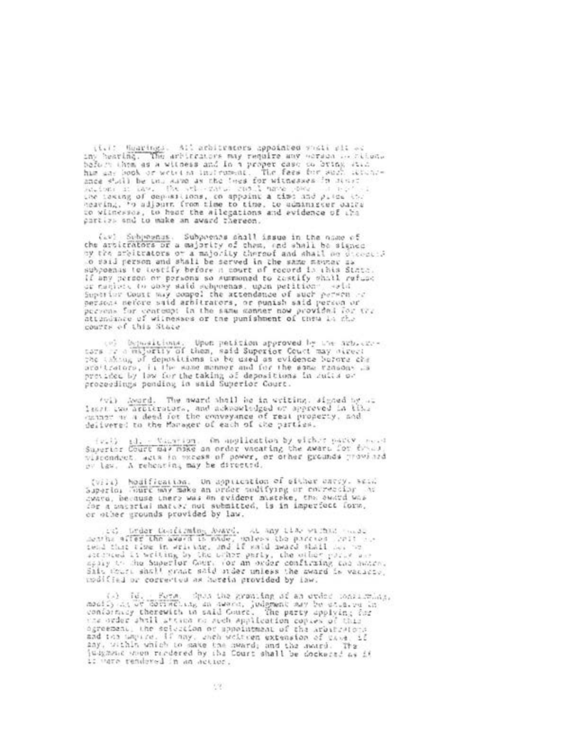(i.i) Sparings. All arbitrators appointed shall sit as imy hearing. The arbitrators may require any worsen of ritem.<br>before them as a witness and in a proper gase on bring stid has an book of website infrasemed. The fees for each latence<br>ance stall be the aire as the twee for winesses in many actions in the . The set winesses in many .<br>sections in the . The set wine condit mane . See the the test to witnesses, to hear the allegations and avidence of the parties and to make an award thereon.

(iv) Schonenus, Subportes shall issue in the name of the articrators or a majority of them, and shall be signed by the prejudicators of a majority thereof and shall be discossed to said person and shall be served in the same mayar as<br>subpoants to testify before in court of record is this State if any person or persons so summoned to cestify shall rafuse or maniers to obey said subpoenas, upon petition - said persons nefore said arbitrators, or punish said person or persons for contempt in the same convert now provided for the<br>attendance of witnesses or the punishment of three is the<br>courts of this State

(e) Depositions. Upon petition approved by the axb.cze-<br>tors or dimelective of them, said Superior Count may offer: the infinit of depositions to be used as evidence before che arattrators, is the same menner and for the some ransons as previded by law for the taking of depositions in autis or<br>proceedings pending in said Superior Court.

(vi) Aword. The award shall be in writing, signed by ... least two artitrators, and acknowledged or appreved in the

(v.) il. Canarion, On application by wither party read<br>Superior Court may make an order vacating the award for theory<br>viscondect, agis in preess of power, or other grounds provined ov law. A reheating may be directed.

(vila) Nouification. On application of either carry, seld<br>Superior Houre way make an order nodifying or coursector in cyard, because there was on evident mistake, the award was The a intertal matter not submitted, is in imperfect form.<br>or other grounds provided by law.

(10) Under Confirming Avard, AL any time of that would<br>menths affer the award is made, unless the parcies (2011 august 10)<br>tend that time in writing, and if said iward shall her we accreed it writing by the brhow party, the other party and<br>apply the huperlor Gour, for an order confirming the award. Site there shall grant said inder unless the sward is vacinty.<br>modified or corrected as herein provided by law.

(a) Id. Form, doubt his granting of an order constructionally his bottless, do several judgment may be equative in conforming therewith in said Cours. The party applying for the order shill attice to such application copie  $\mathcal{P}_{\mathcal{A}}(\mathcal{C},\mathcal{B})$ dous the grouting of an order considering, and the unpice. If may, gach welters extension of case, if any, within which to sake the mward; and the award. The justmans know readered by the Court shall be dockered as if if ware rendered in an action.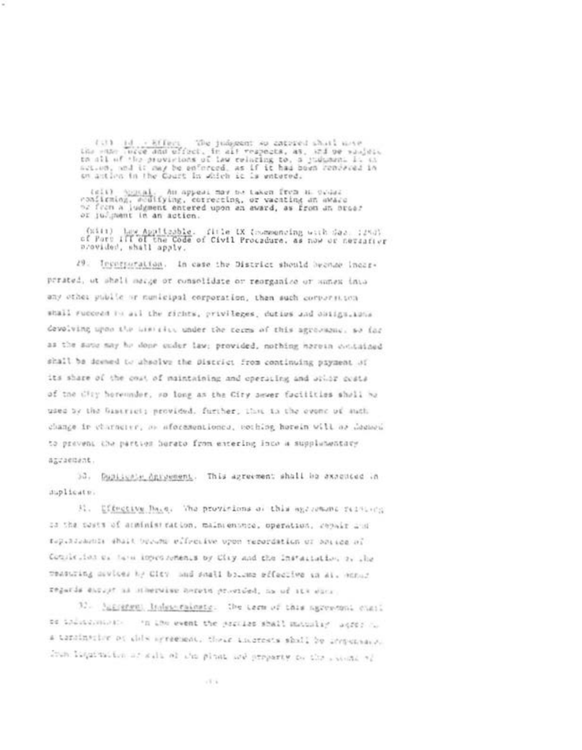(1)  $\frac{1}{100}$ ,  $\frac{1}{10000}$  (Terr. The judgment so cattred shall move<br>the sum incce and effect, in alt respects, as, and ow saujet,<br>to all of the provisions of law relating to, a judgment is an<br>action, and it may be en

(eli) Appeal. An appeal mov be taken from a ovia:<br>confirming, acdifying, correcting, or vacating an award<br>or from a judgment entered upon an award, as from an order or julgment in an action.

(will) have Applicable. fitle LX toommenting with Sas (250)<br>of Part ill of the Code of Civil Procedure, as now or nettafive provided, shall apply.

29. Incorporation. In case the District should become incorperated, ut shall marge or consolidate or reorganico or sumex into any other public or numicipal corporation, then such corporation shall succeed to all the richts, privileges, duties and obiigs, tons devolving upon the bishifts under the cerms of this agreement, so far as the same may he done under law: provided, nothing harvan contained shall be deemed to absolve the Discrict from continuing payment of its share of the cout of maintaining and operating and utiliz costs of the CHry heremoder, so long as the City sever facilities shall be used by the Gastriet; provided. further, that to the event of such change in charnerer, or aforementiones, cothing horein will as democito prevent the parties horato from entering inco a supplementary agraement.

30. Duplicate agreement. This agreement shall be axacticed in suplicate.

31. Effective Dave. The provintions of this age-remand restitute as the costs of acministration, maincentree, operation, repair and tepenseasons shall become effective upon repordation or anying of Completion of farm inpectoments by Clay and the Installation of the measuring sevices by City, and shall bolone effective in Al. Annua regards encour as stherwise bereid provided, ha of its euro-

32. Suprement Independances. The cern of this agreement chail be indecendent of the event the procles shall mainley ages to a terminative of chis agreement, these shortests shall be important. The lightnites of salt of the plant and preparty be the second of